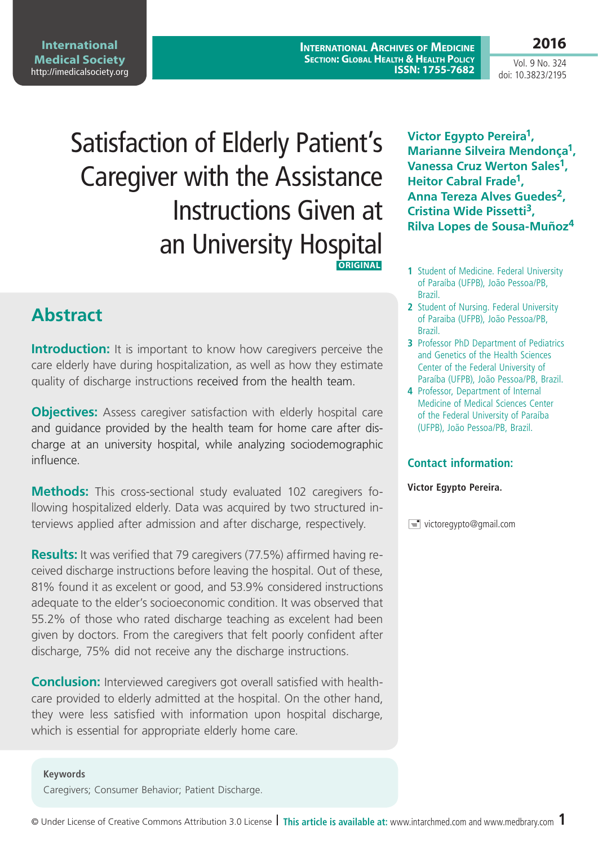**International Archives of Medicine Section: Global Health & Health Policy ISSN: 1755-7682**

Vol. 9 No. 324

doi: 10.3823/2195

Satisfaction of Elderly Patient's Caregiver with the Assistance Instructions Given at an University Hospital  **ORIGINAL**

**Abstract**

**Introduction:** It is important to know how caregivers perceive the care elderly have during hospitalization, as well as how they estimate quality of discharge instructions received from the health team.

**Objectives:** Assess caregiver satisfaction with elderly hospital care and guidance provided by the health team for home care after discharge at an university hospital, while analyzing sociodemographic influence.

**Methods:** This cross-sectional study evaluated 102 caregivers following hospitalized elderly. Data was acquired by two structured interviews applied after admission and after discharge, respectively.

**Results:** It was verified that 79 caregivers (77.5%) affirmed having received discharge instructions before leaving the hospital. Out of these, 81% found it as excelent or good, and 53.9% considered instructions adequate to the elder's socioeconomic condition. It was observed that 55.2% of those who rated discharge teaching as excelent had been given by doctors. From the caregivers that felt poorly confident after discharge, 75% did not receive any the discharge instructions.

**Conclusion:** Interviewed caregivers got overall satisfied with healthcare provided to elderly admitted at the hospital. On the other hand, they were less satisfied with information upon hospital discharge, which is essential for appropriate elderly home care.

**Keywords**

Caregivers; Consumer Behavior; Patient Discharge.

**Victor Egypto Pereira1, Marianne Silveira Mendonça1, Vanessa Cruz Werton Sales1, Heitor Cabral Frade1, Anna Tereza Alves Guedes2, Cristina Wide Pissetti3, Rilva Lopes de Sousa-Muñoz<sup>4</sup>**

- **1** Student of Medicine. Federal University of Paraíba (UFPB), João Pessoa/PB, Brazil.
- **2** Student of Nursing. Federal University of Paraiba (UFPB), João Pessoa/PB, Brazil.
- **3** Professor PhD Department of Pediatrics and Genetics of the Health Sciences Center of the Federal University of Paraíba (UFPB), João Pessoa/PB, Brazil.
- **4** Professor, Department of Internal Medicine of Medical Sciences Center of the Federal University of Paraíba (UFPB), João Pessoa/PB, Brazil.

#### **Contact information:**

**Victor Egypto Pereira.**

 $\equiv$  victoregypto@gmail.com

```
2016
```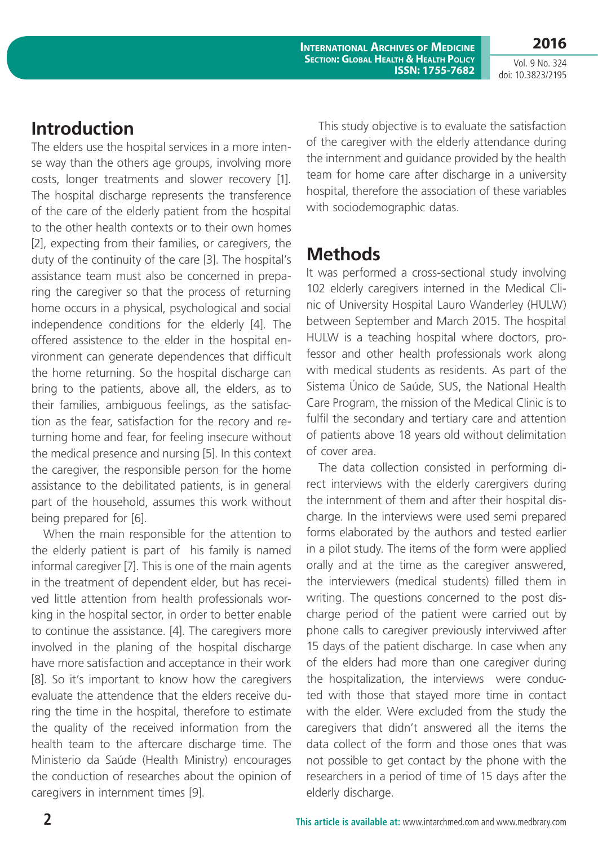**International Archives of Medicine Section: Global Health & Health Policy ISSN: 1755-7682**

**2016** Vol. 9 No. 324 doi: 10.3823/2195

## **Introduction**

The elders use the hospital services in a more intense way than the others age groups, involving more costs, longer treatments and slower recovery [1]. The hospital discharge represents the transference of the care of the elderly patient from the hospital to the other health contexts or to their own homes [2], expecting from their families, or caregivers, the duty of the continuity of the care [3]. The hospital's assistance team must also be concerned in preparing the caregiver so that the process of returning home occurs in a physical, psychological and social independence conditions for the elderly [4]. The offered assistence to the elder in the hospital environment can generate dependences that difficult the home returning. So the hospital discharge can bring to the patients, above all, the elders, as to their families, ambiguous feelings, as the satisfaction as the fear, satisfaction for the recory and returning home and fear, for feeling insecure without the medical presence and nursing [5]. In this context the caregiver, the responsible person for the home assistance to the debilitated patients, is in general part of the household, assumes this work without being prepared for [6].

When the main responsible for the attention to the elderly patient is part of his family is named informal caregiver [7]. This is one of the main agents in the treatment of dependent elder, but has received little attention from health professionals working in the hospital sector, in order to better enable to continue the assistance. [4]. The caregivers more involved in the planing of the hospital discharge have more satisfaction and acceptance in their work [8]. So it's important to know how the caregivers evaluate the attendence that the elders receive during the time in the hospital, therefore to estimate the quality of the received information from the health team to the aftercare discharge time. The Ministerio da Saúde (Health Ministry) encourages the conduction of researches about the opinion of caregivers in internment times [9].

This study objective is to evaluate the satisfaction of the caregiver with the elderly attendance during the internment and guidance provided by the health team for home care after discharge in a university hospital, therefore the association of these variables with sociodemographic datas.

# **Methods**

It was performed a cross-sectional study involving 102 elderly caregivers interned in the Medical Clinic of University Hospital Lauro Wanderley (HULW) between September and March 2015. The hospital HULW is a teaching hospital where doctors, professor and other health professionals work along with medical students as residents. As part of the Sistema Único de Saúde, SUS, the National Health Care Program, the mission of the Medical Clinic is to fulfil the secondary and tertiary care and attention of patients above 18 years old without delimitation of cover area.

The data collection consisted in performing direct interviews with the elderly carergivers during the internment of them and after their hospital discharge. In the interviews were used semi prepared forms elaborated by the authors and tested earlier in a pilot study. The items of the form were applied orally and at the time as the caregiver answered, the interviewers (medical students) filled them in writing. The questions concerned to the post discharge period of the patient were carried out by phone calls to caregiver previously interviwed after 15 days of the patient discharge. In case when any of the elders had more than one caregiver during the hospitalization, the interviews were conducted with those that stayed more time in contact with the elder. Were excluded from the study the caregivers that didn't answered all the items the data collect of the form and those ones that was not possible to get contact by the phone with the researchers in a period of time of 15 days after the elderly discharge.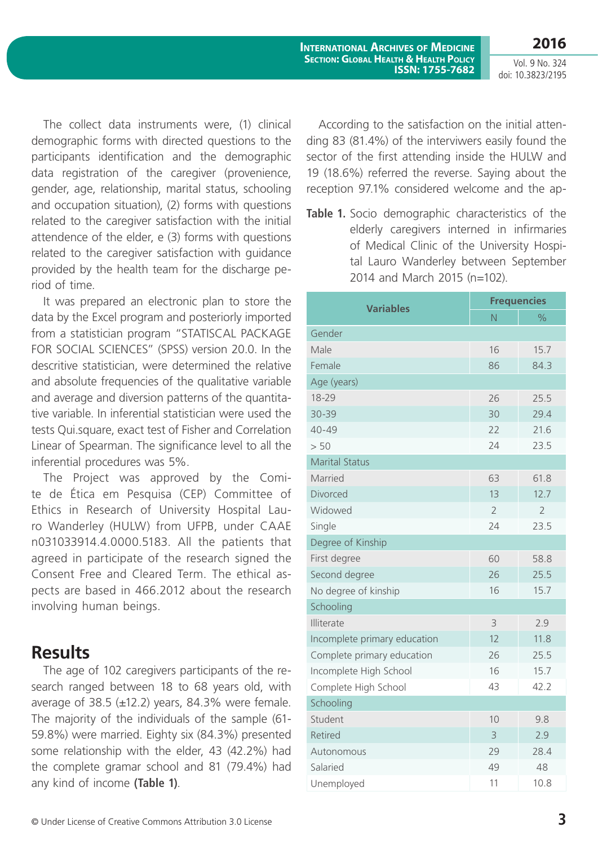**2016**

Vol. 9 No. 324 doi: 10.3823/2195

The collect data instruments were, (1) clinical demographic forms with directed questions to the participants identification and the demographic data registration of the caregiver (provenience, gender, age, relationship, marital status, schooling and occupation situation), (2) forms with questions related to the caregiver satisfaction with the initial attendence of the elder, e (3) forms with questions related to the caregiver satisfaction with guidance provided by the health team for the discharge period of time.

It was prepared an electronic plan to store the data by the Excel program and posteriorly imported from a statistician program "STATISCAL PACKAGE FOR SOCIAL SCIENCES" (SPSS) version 20.0. In the descritive statistician, were determined the relative and absolute frequencies of the qualitative variable and average and diversion patterns of the quantitative variable. In inferential statistician were used the tests Qui.square, exact test of Fisher and Correlation Linear of Spearman. The significance level to all the inferential procedures was 5%.

The Project was approved by the Comite de Ética em Pesquisa (CEP) Committee of Ethics in Research of University Hospital Lauro Wanderley (HULW) from UFPB, under CAAE n031033914.4.0000.5183. All the patients that agreed in participate of the research signed the Consent Free and Cleared Term. The ethical aspects are based in 466.2012 about the research involving human beings.

#### **Results**

The age of 102 caregivers participants of the research ranged between 18 to 68 years old, with average of 38.5  $(\pm 12.2)$  years, 84.3% were female. The majority of the individuals of the sample (61- 59.8%) were married. Eighty six (84.3%) presented some relationship with the elder, 43 (42.2%) had the complete gramar school and 81 (79.4%) had any kind of income **(Table 1)**.

According to the satisfaction on the initial attending 83 (81.4%) of the interviwers easily found the sector of the first attending inside the HULW and 19 (18.6%) referred the reverse. Saying about the reception 97.1% considered welcome and the ap-

**Table 1.** Socio demographic characteristics of the elderly caregivers interned in infirmaries of Medical Clinic of the University Hospital Lauro Wanderley between September 2014 and March 2015 (n=102).

| <b>Variables</b>             | <b>Frequencies</b> |                |
|------------------------------|--------------------|----------------|
|                              | N                  | $\frac{1}{2}$  |
| Gender                       |                    |                |
| Male                         | 16                 | 15.7           |
| Female                       | 86                 | 84.3           |
| Age (years)                  |                    |                |
| 18-29                        | 26                 | 25.5           |
| 30-39                        | 30                 | 29.4           |
| $40 - 49$                    | 22                 | 21.6           |
| > 50                         | 24                 | 23.5           |
| <b>Marital Status</b>        |                    |                |
| Married                      | 63                 | 61.8           |
| Divorced                     | 13                 | 12.7           |
| Widowed                      | $\overline{2}$     | $\overline{2}$ |
| Single                       | 24                 | 23.5           |
| Degree of Kinship            |                    |                |
| First degree                 | 60                 | 58.8           |
| Second degree                | 26                 | 25.5           |
| No degree of kinship         | 16                 | 15.7           |
| Schooling                    |                    |                |
| <b>Illiterate</b>            | 3                  | 2.9            |
| Incomplete primary education | 12                 | 11.8           |
| Complete primary education   | 26                 | 25.5           |
| Incomplete High School       | 16                 | 15.7           |
| Complete High School         | 43                 | 42.2           |
| Schooling                    |                    |                |
| Student                      | 10                 | 9.8            |
| Retired                      | $\overline{3}$     | 2.9            |
| Autonomous                   | 29                 | 28.4           |
| Salaried                     | 49                 | 48             |
| Unemployed                   | 11                 | 10.8           |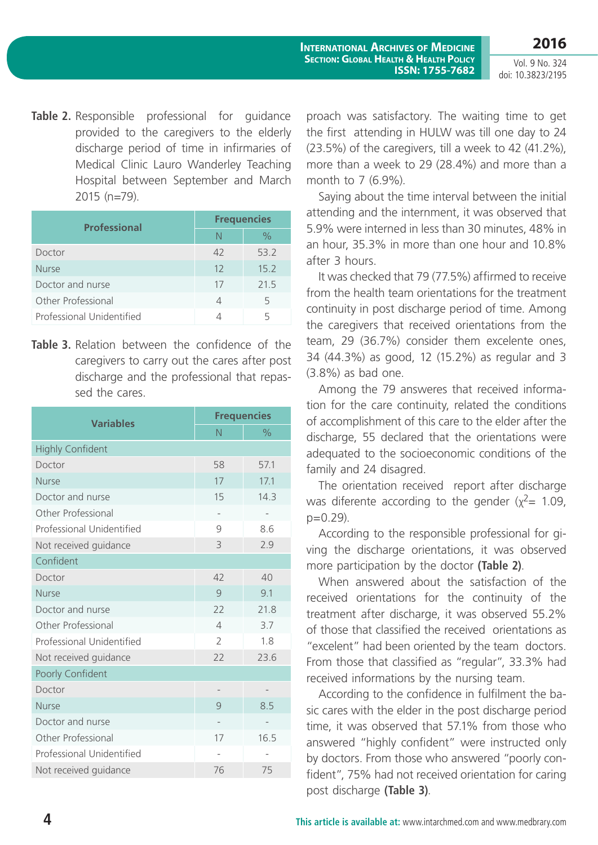**2016**

Vol. 9 No. 324 doi: 10.3823/2195

**Table 2.** Responsible professional for quidance provided to the caregivers to the elderly discharge period of time in infirmaries of Medical Clinic Lauro Wanderley Teaching Hospital between September and March 2015 (n=79).

| <b>Professional</b>       | <b>Frequencies</b> |      |
|---------------------------|--------------------|------|
|                           | N                  | $\%$ |
| Doctor                    | 42                 | 53.2 |
| <b>Nurse</b>              | 12                 | 15.2 |
| Doctor and nurse          | 17                 | 21.5 |
| Other Professional        | 4                  | 5    |
| Professional Unidentified |                    | ц    |

**Table 3.** Relation between the confidence of the caregivers to carry out the cares after post discharge and the professional that repassed the cares.

| <b>Variables</b>          | <b>Frequencies</b> |               |
|---------------------------|--------------------|---------------|
|                           | N                  | $\frac{0}{0}$ |
| <b>Highly Confident</b>   |                    |               |
| Doctor                    | 58                 | 57.1          |
| <b>Nurse</b>              | 17                 | 17.1          |
| Doctor and nurse          | 15                 | 14.3          |
| Other Professional        |                    |               |
| Professional Unidentified | 9                  | 8.6           |
| Not received guidance     | 3                  | 2.9           |
| Confident                 |                    |               |
| Doctor                    | 42                 | 40            |
| <b>Nurse</b>              | $\mathcal{Q}$      | 9.1           |
| Doctor and nurse          | 22                 | 21.8          |
| Other Professional        | $\Delta$           | 3.7           |
| Professional Unidentified | $\overline{2}$     | 1.8           |
| Not received guidance     | 22                 | 23.6          |
| Poorly Confident          |                    |               |
| Doctor                    |                    |               |
| <b>Nurse</b>              | 9                  | 8.5           |
| Doctor and nurse          |                    |               |
| Other Professional        | 17                 | 16.5          |
| Professional Unidentified |                    |               |
| Not received guidance     | 76                 | 75            |

proach was satisfactory. The waiting time to get the first attending in HULW was till one day to 24 (23.5%) of the caregivers, till a week to 42 (41.2%), more than a week to 29 (28.4%) and more than a month to 7 (6.9%).

Saying about the time interval between the initial attending and the internment, it was observed that 5.9% were interned in less than 30 minutes, 48% in an hour, 35.3% in more than one hour and 10.8% after 3 hours.

It was checked that 79 (77.5%) affirmed to receive from the health team orientations for the treatment continuity in post discharge period of time. Among the caregivers that received orientations from the team, 29 (36.7%) consider them excelente ones, 34 (44.3%) as good, 12 (15.2%) as regular and 3 (3.8%) as bad one.

Among the 79 answeres that received information for the care continuity, related the conditions of accomplishment of this care to the elder after the discharge, 55 declared that the orientations were adequated to the socioeconomic conditions of the family and 24 disagred.

The orientation received report after discharge was diferente according to the gender  $(x^2= 1.09)$ ,  $p=0.29$ ).

According to the responsible professional for giving the discharge orientations, it was observed more participation by the doctor **(Table 2)**.

When answered about the satisfaction of the received orientations for the continuity of the treatment after discharge, it was observed 55.2% of those that classified the received orientations as "excelent" had been oriented by the team doctors. From those that classified as "regular", 33.3% had received informations by the nursing team.

According to the confidence in fulfilment the basic cares with the elder in the post discharge period time, it was observed that 57.1% from those who answered "highly confident" were instructed only by doctors. From those who answered "poorly confident", 75% had not received orientation for caring post discharge **(Table 3)**.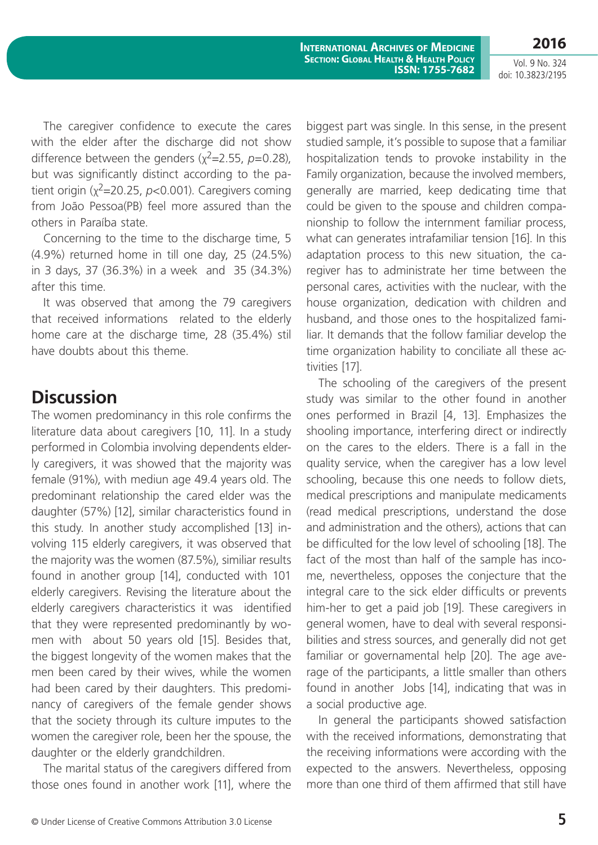**International Archives of Medicine Section: Global Health & Health Policy ISSN: 1755-7682**

Vol. 9 No. 324 doi: 10.3823/2195

**2016**

The caregiver confidence to execute the cares with the elder after the discharge did not show difference between the genders  $(x^2=2.55, p=0.28)$ , but was significantly distinct according to the patient origin  $(x^2=20.25, p<0.001)$ . Caregivers coming from João Pessoa(PB) feel more assured than the others in Paraíba state.

Concerning to the time to the discharge time, 5 (4.9%) returned home in till one day, 25 (24.5%) in 3 days, 37 (36.3%) in a week and 35 (34.3%) after this time.

It was observed that among the 79 caregivers that received informations related to the elderly home care at the discharge time, 28 (35.4%) stil have doubts about this theme.

## **Discussion**

The women predominancy in this role confirms the literature data about caregivers [10, 11]. In a study performed in Colombia involving dependents elderly caregivers, it was showed that the majority was female (91%), with mediun age 49.4 years old. The predominant relationship the cared elder was the daughter (57%) [12], similar characteristics found in this study. In another study accomplished [13] involving 115 elderly caregivers, it was observed that the majority was the women (87.5%), similiar results found in another group [14], conducted with 101 elderly caregivers. Revising the literature about the elderly caregivers characteristics it was identified that they were represented predominantly by women with about 50 years old [15]. Besides that, the biggest longevity of the women makes that the men been cared by their wives, while the women had been cared by their daughters. This predominancy of caregivers of the female gender shows that the society through its culture imputes to the women the caregiver role, been her the spouse, the daughter or the elderly grandchildren.

The marital status of the caregivers differed from those ones found in another work [11], where the biggest part was single. In this sense, in the present studied sample, it's possible to supose that a familiar hospitalization tends to provoke instability in the Family organization, because the involved members, generally are married, keep dedicating time that could be given to the spouse and children companionship to follow the internment familiar process, what can generates intrafamiliar tension [16]. In this adaptation process to this new situation, the caregiver has to administrate her time between the personal cares, activities with the nuclear, with the house organization, dedication with children and husband, and those ones to the hospitalized familiar. It demands that the follow familiar develop the time organization hability to conciliate all these activities [17].

The schooling of the caregivers of the present study was similar to the other found in another ones performed in Brazil [4, 13]. Emphasizes the shooling importance, interfering direct or indirectly on the cares to the elders. There is a fall in the quality service, when the caregiver has a low level schooling, because this one needs to follow diets, medical prescriptions and manipulate medicaments (read medical prescriptions, understand the dose and administration and the others), actions that can be difficulted for the low level of schooling [18]. The fact of the most than half of the sample has income, nevertheless, opposes the conjecture that the integral care to the sick elder difficults or prevents him-her to get a paid job [19]. These caregivers in general women, have to deal with several responsibilities and stress sources, and generally did not get familiar or governamental help [20]. The age average of the participants, a little smaller than others found in another Jobs [14], indicating that was in a social productive age.

In general the participants showed satisfaction with the received informations, demonstrating that the receiving informations were according with the expected to the answers. Nevertheless, opposing more than one third of them affirmed that still have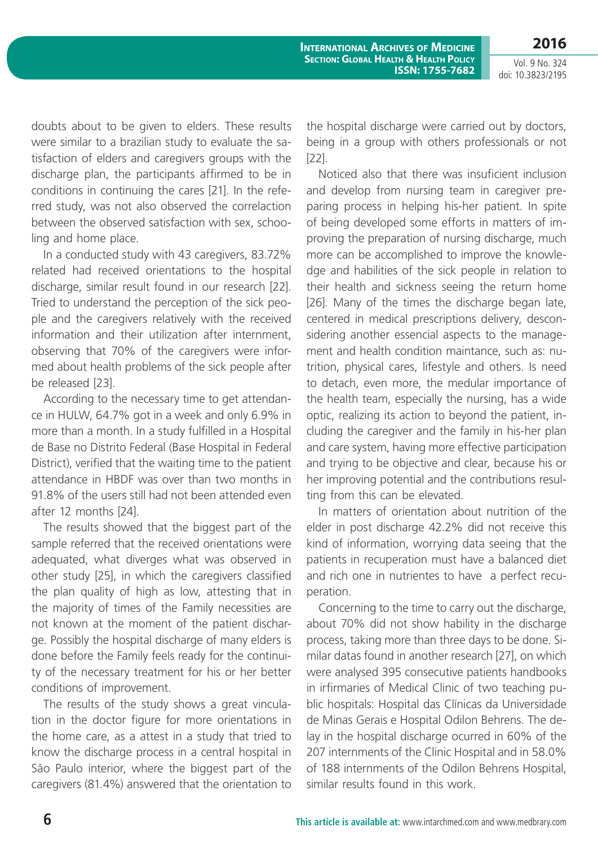Vol. 9 No. 324 doi: 10.3823/2195

**2016**

doubts about to be given to elders. These results were similar to a brazilian study to evaluate the satisfaction of elders and caregivers groups with the discharge plan, the participants affirmed to be in conditions in continuing the cares [21]. In the referred study, was not also observed the correlaction between the observed satisfaction with sex, schooling and home place.

In a conducted study with 43 caregivers, 83.72% related had received orientations to the hospital discharge, similar result found in our research [22]. Tried to understand the perception of the sick people and the caregivers relatively with the received information and their utilization after internment, observing that 70% of the caregivers were informed about health problems of the sick people after be released [23].

According to the necessary time to get attendance in HULW, 64.7% got in a week and only 6.9% in more than a month. In a study fulfilled in a Hospital de Base no Distrito Federal (Base Hospital in Federal District), verified that the waiting time to the patient attendance in HBDF was over than two months in 91.8% of the users still had not been attended even after 12 months [24].

The results showed that the biggest part of the sample referred that the received orientations were adequated, what diverges what was observed in other study [25], in which the caregivers classified the plan quality of high as low, attesting that in the majority of times of the Family necessities are not known at the moment of the patient discharge. Possibly the hospital discharge of many elders is done before the Family feels ready for the continuity of the necessary treatment for his or her better conditions of improvement.

The results of the study shows a great vinculation in the doctor figure for more orientations in the home care, as a attest in a study that tried to know the discharge process in a central hospital in São Paulo interior, where the biggest part of the caregivers (81.4%) answered that the orientation to the hospital discharge were carried out by doctors, being in a group with others professionals or not [22].

Noticed also that there was insuficient inclusion and develop from nursing team in caregiver preparing process in helping his-her patient. In spite of being developed some efforts in matters of improving the preparation of nursing discharge, much more can be accomplished to improve the knowledge and habilities of the sick people in relation to their health and sickness seeing the return home [26]. Many of the times the discharge began late, centered in medical prescriptions delivery, desconsidering another essencial aspects to the management and health condition maintance, such as: nutrition, physical cares, lifestyle and others. Is need to detach, even more, the medular importance of the health team, especially the nursing, has a wide optic, realizing its action to beyond the patient, including the caregiver and the family in his-her plan and care system, having more effective participation and trying to be objective and clear, because his or her improving potential and the contributions resulting from this can be elevated.

In matters of orientation about nutrition of the elder in post discharge 42.2% did not receive this kind of information, worrying data seeing that the patients in recuperation must have a balanced diet and rich one in nutrientes to have a perfect recuperation.

Concerning to the time to carry out the discharge, about 70% did not show hability in the discharge process, taking more than three days to be done. Similar datas found in another research [27], on which were analysed 395 consecutive patients handbooks in irfirmaries of Medical Clinic of two teaching public hospitals: Hospital das Clínicas da Universidade de Minas Gerais e Hospital Odilon Behrens. The delay in the hospital discharge ocurred in 60% of the 207 internments of the Clinic Hospital and in 58.0% of 188 internments of the Odilon Behrens Hospital, similar results found in this work.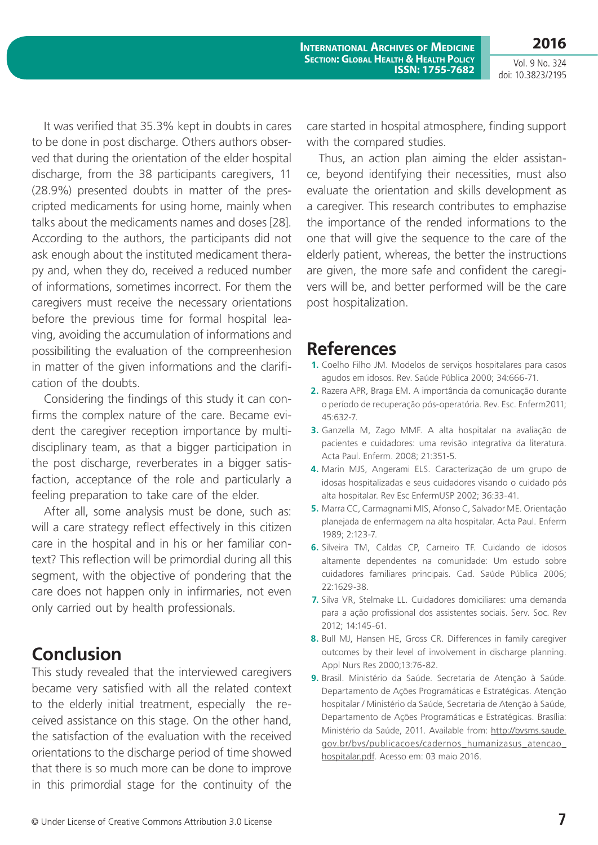**2016**

Vol. 9 No. 324 doi: 10.3823/2195

It was verified that 35.3% kept in doubts in cares to be done in post discharge. Others authors observed that during the orientation of the elder hospital discharge, from the 38 participants caregivers, 11 (28.9%) presented doubts in matter of the prescripted medicaments for using home, mainly when talks about the medicaments names and doses [28]. According to the authors, the participants did not ask enough about the instituted medicament therapy and, when they do, received a reduced number of informations, sometimes incorrect. For them the caregivers must receive the necessary orientations before the previous time for formal hospital leaving, avoiding the accumulation of informations and possibiliting the evaluation of the compreenhesion in matter of the given informations and the clarification of the doubts.

Considering the findings of this study it can confirms the complex nature of the care. Became evident the caregiver reception importance by multidisciplinary team, as that a bigger participation in the post discharge, reverberates in a bigger satisfaction, acceptance of the role and particularly a feeling preparation to take care of the elder.

After all, some analysis must be done, such as: will a care strategy reflect effectively in this citizen care in the hospital and in his or her familiar context? This reflection will be primordial during all this segment, with the objective of pondering that the care does not happen only in infirmaries, not even only carried out by health professionals.

# **Conclusion**

This study revealed that the interviewed caregivers became very satisfied with all the related context to the elderly initial treatment, especially the received assistance on this stage. On the other hand, the satisfaction of the evaluation with the received orientations to the discharge period of time showed that there is so much more can be done to improve in this primordial stage for the continuity of the

care started in hospital atmosphere, finding support with the compared studies.

Thus, an action plan aiming the elder assistance, beyond identifying their necessities, must also evaluate the orientation and skills development as a caregiver. This research contributes to emphazise the importance of the rended informations to the one that will give the sequence to the care of the elderly patient, whereas, the better the instructions are given, the more safe and confident the caregivers will be, and better performed will be the care post hospitalization.

#### **References**

- **1.** Coelho Filho JM. Modelos de serviços hospitalares para casos agudos em idosos. Rev. Saúde Pública 2000; 34:666-71.
- **2.** Razera APR, Braga EM. A importância da comunicação durante o período de recuperação pós-operatória. Rev. Esc. Enferm2011; 45:632-7.
- **3.** Ganzella M, Zago MMF. A alta hospitalar na avaliação de pacientes e cuidadores: uma revisão integrativa da literatura. Acta Paul. Enferm. 2008; 21:351-5.
- **4.** Marin MJS, Angerami ELS. Caracterização de um grupo de idosas hospitalizadas e seus cuidadores visando o cuidado pós alta hospitalar. Rev Esc EnfermUSP 2002; 36:33-41.
- **5.** Marra CC, Carmagnami MIS, Afonso C, Salvador ME. Orientação planejada de enfermagem na alta hospitalar. Acta Paul. Enferm 1989; 2:123-7.
- **6.** Silveira TM, Caldas CP, Carneiro TF. Cuidando de idosos altamente dependentes na comunidade: Um estudo sobre cuidadores familiares principais. Cad. Saúde Pública 2006; 22:1629-38.
- **7.** Silva VR, Stelmake LL. Cuidadores domiciliares: uma demanda para a ação profissional dos assistentes sociais. Serv. Soc. Rev 2012; 14:145-61.
- **8.** Bull MJ, Hansen HE, Gross CR. Differences in family caregiver outcomes by their level of involvement in discharge planning. Appl Nurs Res 2000;13:76-82.
- **9.** Brasil. Ministério da Saúde. Secretaria de Atenção à Saúde. Departamento de Ações Programáticas e Estratégicas. Atenção hospitalar / Ministério da Saúde, Secretaria de Atenção à Saúde, Departamento de Ações Programáticas e Estratégicas. Brasília: Ministério da Saúde, 2011. Available from: [http://bvsms.saude.](http://bvsms.saude.gov.br/bvs/publicacoes/cadernos_humanizasus_atencao_hospitalar.pdf) [gov.br/bvs/publicacoes/cadernos\\_humanizasus\\_atencao\\_](http://bvsms.saude.gov.br/bvs/publicacoes/cadernos_humanizasus_atencao_hospitalar.pdf) [hospitalar.pdf.](http://bvsms.saude.gov.br/bvs/publicacoes/cadernos_humanizasus_atencao_hospitalar.pdf) Acesso em: 03 maio 2016.